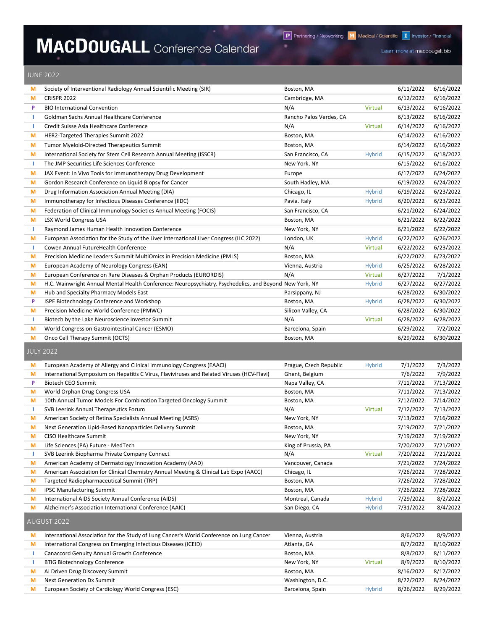## MACDOUGALL Conference Calendar

Learn more at macdougall.bio

## JUNE 2022

| M  | Society of Interventional Radiology Annual Scientific Meeting (SIR)                                     | Boston, MA              |                | 6/11/2022 | 6/16/2022 |
|----|---------------------------------------------------------------------------------------------------------|-------------------------|----------------|-----------|-----------|
| M  | <b>CRISPR 2022</b>                                                                                      | Cambridge, MA           |                | 6/12/2022 | 6/16/2022 |
| P  | <b>BIO International Convention</b>                                                                     | N/A                     | <b>Virtual</b> | 6/13/2022 | 6/16/2022 |
| т  | Goldman Sachs Annual Healthcare Conference                                                              | Rancho Palos Verdes, CA |                | 6/13/2022 | 6/16/2022 |
| т  | Credit Suisse Asia Healthcare Conference                                                                | N/A                     | <b>Virtual</b> | 6/14/2022 | 6/16/2022 |
| M  | HER2-Targeted Therapies Summit 2022                                                                     | Boston, MA              |                | 6/14/2022 | 6/16/2022 |
| М  | Tumor Myeloid-Directed Therapeutics Summit                                                              | Boston, MA              |                | 6/14/2022 | 6/16/2022 |
| M  | International Society for Stem Cell Research Annual Meeting (ISSCR)                                     | San Francisco, CA       | <b>Hybrid</b>  | 6/15/2022 | 6/18/2022 |
| п. | The JMP Securities Life Sciences Conference                                                             | New York, NY            |                | 6/15/2022 | 6/16/2022 |
| M  | JAX Event: In Vivo Tools for Immunotherapy Drug Development                                             | Europe                  |                | 6/17/2022 | 6/24/2022 |
| M  | Gordon Research Conference on Liquid Biopsy for Cancer                                                  | South Hadley, MA        |                | 6/19/2022 | 6/24/2022 |
| M  | Drug Information Association Annual Meeting (DIA)                                                       | Chicago, IL             | <b>Hybrid</b>  | 6/19/2022 | 6/23/2022 |
| M  | Immunotherapy for Infectious Diseases Conference (IIDC)                                                 | Pavia. Italy            | <b>Hybrid</b>  | 6/20/2022 | 6/23/2022 |
| M  | Federation of Clinical Immunology Societies Annual Meeting (FOCIS)                                      | San Francisco, CA       |                | 6/21/2022 | 6/24/2022 |
| M  | <b>LSX World Congress USA</b>                                                                           | Boston, MA              |                | 6/21/2022 | 6/22/2022 |
| п. | Raymond James Human Health Innovation Conference                                                        | New York, NY            |                | 6/21/2022 | 6/22/2022 |
| М  | European Association for the Study of the Liver International Liver Congress (ILC 2022)                 | London, UK              | <b>Hybrid</b>  | 6/22/2022 | 6/26/2022 |
| т  | Cowen Annual FutureHealth Conference                                                                    | N/A                     | <b>Virtual</b> | 6/22/2022 | 6/23/2022 |
| М  | Precision Medicine Leaders Summit MultiOmics in Precision Medicine (PMLS)                               | Boston, MA              |                | 6/22/2022 | 6/23/2022 |
| M  | European Academy of Neurology Congress (EAN)                                                            | Vienna, Austria         | <b>Hybrid</b>  | 6/25/2022 | 6/28/2022 |
| M  | European Conference on Rare Diseases & Orphan Products (EURORDIS)                                       | N/A                     | <b>Virtual</b> | 6/27/2022 | 7/1/2022  |
| M  | H.C. Wainwright Annual Mental Health Conference: Neuropsychiatry, Psychedelics, and Beyond New York, NY |                         | <b>Hybrid</b>  | 6/27/2022 | 6/27/2022 |
| M  | Hub and Specialty Pharmacy Models East                                                                  | Parsippany, NJ          |                | 6/28/2022 | 6/30/2022 |
| P  | ISPE Biotechnology Conference and Workshop                                                              | Boston, MA              | <b>Hybrid</b>  | 6/28/2022 | 6/30/2022 |
| M  | Precision Medicine World Conference (PMWC)                                                              | Silicon Valley, CA      |                | 6/28/2022 | 6/30/2022 |
| п. | Biotech by the Lake Neuroscience Investor Summit                                                        | N/A                     | <b>Virtual</b> | 6/28/2022 | 6/28/2022 |
| M  | World Congress on Gastrointestinal Cancer (ESMO)                                                        | Barcelona, Spain        |                | 6/29/2022 | 7/2/2022  |
| M  | Onco Cell Therapy Summit (OCTS)                                                                         | Boston, MA              |                | 6/29/2022 | 6/30/2022 |
|    | <b>JULY 2022</b>                                                                                        |                         |                |           |           |
| M  | European Academy of Allergy and Clinical Immunology Congress (EAACI)                                    | Prague, Czech Republic  | <b>Hybrid</b>  | 7/1/2022  | 7/3/2022  |
| M  | International Symposium on Hepatitis C Virus, Flaviviruses and Related Viruses (HCV-Flavi)              | Ghent, Belgium          |                | 7/6/2022  | 7/9/2022  |
| P  | <b>Biotech CEO Summit</b>                                                                               | Napa Valley, CA         |                | 7/11/2022 | 7/13/2022 |
| M  | World Orphan Drug Congress USA                                                                          | Boston, MA              |                | 7/11/2022 | 7/13/2022 |
| M  | 10th Annual Tumor Models For Combination Targeted Oncology Summit                                       | Boston, MA              |                | 7/12/2022 | 7/14/2022 |
| ÷. | SVB Leerink Annual Therapeutics Forum                                                                   | N/A                     | <b>Virtual</b> | 7/12/2022 | 7/13/2022 |
| M  | American Society of Retina Specialists Annual Meeting (ASRS)                                            | New York, NY            |                | 7/13/2022 | 7/16/2022 |
| M  | Next Generation Lipid-Based Nanoparticles Delivery Summit                                               | Boston, MA              |                | 7/19/2022 | 7/21/2022 |
| М  | CISO Healthcare Summit                                                                                  | New York, NY            |                | 7/19/2022 | 7/19/2022 |
| M  | Life Sciences (PA) Future - MedTech                                                                     | King of Prussia, PA     |                | 7/20/2022 | 7/21/2022 |
| ÷. | SVB Leerink Biopharma Private Company Connect                                                           | N/A                     | Virtual        | 7/20/2022 | 7/21/2022 |
| M  | American Academy of Dermatology Innovation Academy (AAD)                                                | Vancouver, Canada       |                | 7/21/2022 | 7/24/2022 |
| M  | American Association for Clinical Chemistry Annual Meeting & Clinical Lab Expo (AACC)                   | Chicago, IL             |                | 7/26/2022 | 7/28/2022 |
| M  | Targeted Radiopharmaceutical Summit (TRP)                                                               | Boston, MA              |                | 7/26/2022 | 7/28/2022 |
| M  | iPSC Manufacturing Summit                                                                               | Boston, MA              |                | 7/26/2022 | 7/28/2022 |
| M  | International AIDS Society Annual Conference (AIDS)                                                     | Montreal, Canada        | <b>Hybrid</b>  | 7/29/2022 | 8/2/2022  |
| M  | Alzheimer's Association International Conference (AAIC)                                                 | San Diego, CA           | <b>Hybrid</b>  | 7/31/2022 | 8/4/2022  |
|    | AUGUST 2022                                                                                             |                         |                |           |           |
| M  | International Association for the Study of Lung Cancer's World Conference on Lung Cancer                | Vienna, Austria         |                | 8/6/2022  | 8/9/2022  |
| M  | International Congress on Emerging Infectious Diseases (ICEID)                                          | Atlanta, GA             |                | 8/7/2022  | 8/10/2022 |
| т  | Canaccord Genuity Annual Growth Conference                                                              | Boston, MA              |                | 8/8/2022  | 8/11/2022 |
| J. | <b>BTIG Biotechnology Conference</b>                                                                    | New York, NY            | Virtual        | 8/9/2022  | 8/10/2022 |
| M  | Al Driven Drug Discovery Summit                                                                         | Boston, MA              |                | 8/16/2022 | 8/17/2022 |
| M  | Next Generation Dx Summit                                                                               | Washington, D.C.        |                | 8/22/2022 | 8/24/2022 |

M European Society of Cardiology World Congress (ESC) Barcelona, Spain Hybrid 8/26/2022 8/29/2022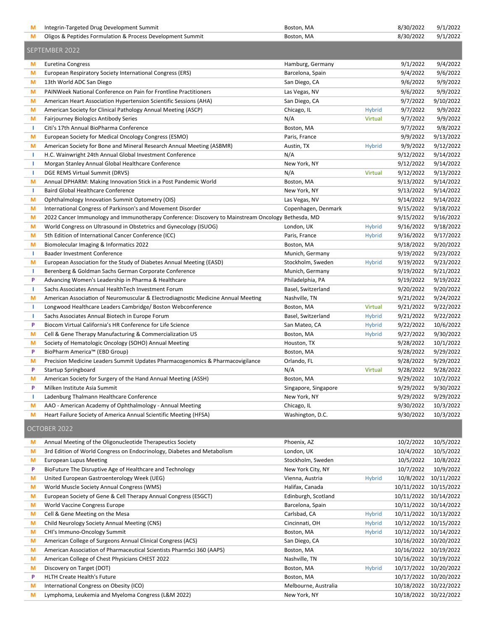| M              | Integrin-Targeted Drug Development Summit                                                          | Boston, MA                           |                | 8/30/2022                           | 9/1/2022   |  |
|----------------|----------------------------------------------------------------------------------------------------|--------------------------------------|----------------|-------------------------------------|------------|--|
| M              | Oligos & Peptides Formulation & Process Development Summit                                         | Boston, MA                           |                | 8/30/2022                           | 9/1/2022   |  |
| SEPTEMBER 2022 |                                                                                                    |                                      |                |                                     |            |  |
| M              | Euretina Congress                                                                                  | Hamburg, Germany                     |                | 9/1/2022                            | 9/4/2022   |  |
| М              | European Respiratory Society International Congress (ERS)                                          | Barcelona, Spain                     |                | 9/4/2022                            | 9/6/2022   |  |
| М              | 13th World ADC San Diego                                                                           | San Diego, CA                        |                | 9/6/2022                            | 9/9/2022   |  |
| М              | PAINWeek National Conference on Pain for Frontline Practitioners                                   | Las Vegas, NV                        |                | 9/6/2022                            | 9/9/2022   |  |
| М              | American Heart Association Hypertension Scientific Sessions (AHA)                                  | San Diego, CA                        |                | 9/7/2022                            | 9/10/2022  |  |
| M              | American Society for Clinical Pathology Annual Meeting (ASCP)                                      | Chicago, IL                          | <b>Hybrid</b>  | 9/7/2022                            | 9/9/2022   |  |
| М              | <b>Fairjourney Biologics Antibody Series</b>                                                       | N/A                                  | <b>Virtual</b> | 9/7/2022                            | 9/9/2022   |  |
| л.             | Citi's 17th Annual BioPharma Conference                                                            | Boston, MA                           |                | 9/7/2022                            | 9/8/2022   |  |
| M              | European Society for Medical Oncology Congress (ESMO)                                              | Paris, France                        |                | 9/9/2022                            | 9/13/2022  |  |
| М              | American Society for Bone and Mineral Research Annual Meeting (ASBMR)                              | Austin, TX                           | <b>Hybrid</b>  | 9/9/2022                            | 9/12/2022  |  |
| ı              | H.C. Wainwright 24th Annual Global Investment Conference                                           | N/A                                  |                | 9/12/2022                           | 9/14/2022  |  |
| ı              | Morgan Stanley Annual Global Healthcare Conference                                                 | New York, NY                         |                | 9/12/2022                           | 9/14/2022  |  |
| л.             | DGE REMS Virtual Summit (DRVS)                                                                     | N/A                                  | Virtual        | 9/12/2022                           | 9/13/2022  |  |
| М              | Annual DPHARM: Making Innovation Stick in a Post Pandemic World                                    | Boston, MA                           |                | 9/13/2022                           | 9/14/2022  |  |
| Т              | Baird Global Healthcare Conference                                                                 | New York, NY                         |                | 9/13/2022                           | 9/14/2022  |  |
| М              | Ophthalmology Innovation Summit Optometry (OIS)                                                    | Las Vegas, NV                        |                | 9/14/2022                           | 9/14/2022  |  |
| М              | International Congress of Parkinson's and Movement Disorder                                        | Copenhagen, Denmark                  |                | 9/15/2022                           | 9/18/2022  |  |
| М              | 2022 Cancer Immunology and Immunotherapy Conference: Discovery to Mainstream Oncology Bethesda, MD |                                      |                | 9/15/2022                           | 9/16/2022  |  |
| М              | World Congress on Ultrasound in Obstetrics and Gynecology (ISUOG)                                  | London, UK                           | <b>Hybrid</b>  | 9/16/2022                           | 9/18/2022  |  |
| М              | 5th Edition of International Cancer Conference (ICC)                                               | Paris, France                        | <b>Hybrid</b>  | 9/16/2022                           | 9/17/2022  |  |
| М              | Biomolecular Imaging & Informatics 2022                                                            | Boston, MA                           |                | 9/18/2022                           | 9/20/2022  |  |
| ı              | <b>Baader Investment Conference</b>                                                                | Munich, Germany                      |                | 9/19/2022                           | 9/23/2022  |  |
| М              | European Association for the Study of Diabetes Annual Meeting (EASD)                               | Stockholm, Sweden                    | <b>Hybrid</b>  | 9/19/2022                           | 9/23/2022  |  |
| ı              | Berenberg & Goldman Sachs German Corporate Conference                                              | Munich, Germany                      |                | 9/19/2022                           | 9/21/2022  |  |
| P              | Advancing Women's Leadership in Pharma & Healthcare                                                | Philadelphia, PA                     |                | 9/19/2022                           | 9/19/2022  |  |
|                | Sachs Associates Annual HealthTech Investment Forum                                                | Basel, Switzerland                   |                | 9/20/2022                           | 9/20/2022  |  |
| М              | American Association of Neuromuscular & Electrodiagnostic Medicine Annual Meeting                  | Nashville, TN                        |                | 9/21/2022                           | 9/24/2022  |  |
| л.             | Longwood Healthcare Leaders Cambridge/ Boston Webconference                                        | Boston, MA                           | Virtual        | 9/21/2022                           | 9/22/2022  |  |
| п              | Sachs Associates Annual Biotech in Europe Forum                                                    | Basel, Switzerland                   | <b>Hybrid</b>  | 9/21/2022                           | 9/22/2022  |  |
| P              | Biocom Virtual California's HR Conference for Life Science                                         | San Mateo, CA                        | Hybrid         | 9/22/2022                           | 10/6/2022  |  |
| M              | Cell & Gene Therapy Manufacturing & Commercialization US                                           | Boston, MA                           | <b>Hybrid</b>  | 9/27/2022                           | 9/30/2022  |  |
| М              | Society of Hematologic Oncology (SOHO) Annual Meeting                                              | Houston, TX                          |                | 9/28/2022                           | 10/1/2022  |  |
| P              | BioPharm America™ (EBD Group)                                                                      | Boston, MA                           |                | 9/28/2022                           | 9/29/2022  |  |
| М              | Precision Medicine Leaders Summit Updates Pharmacogenomics & Pharmacovigilance                     | Orlando, FL                          |                | 9/28/2022                           | 9/29/2022  |  |
| P              | Startup Springboard                                                                                | N/A                                  | <b>Virtual</b> | 9/28/2022                           | 9/28/2022  |  |
|                | American Society for Surgery of the Hand Annual Meeting (ASSH)                                     | Boston, MA                           |                | 9/29/2022                           | 10/2/2022  |  |
| P              | Milken Institute Asia Summit                                                                       | Singapore, Singapore                 |                | 9/29/2022                           | 9/30/2022  |  |
| ı              | Ladenburg Thalmann Healthcare Conference                                                           | New York, NY                         |                | 9/29/2022                           | 9/29/2022  |  |
| М              | AAO - American Academy of Ophthalmology - Annual Meeting                                           | Chicago, IL                          |                | 9/30/2022                           | 10/3/2022  |  |
| М              | Heart Failure Society of America Annual Scientific Meeting (HFSA)                                  | Washington, D.C.                     |                | 9/30/2022                           | 10/3/2022  |  |
|                | OCTOBER 2022                                                                                       |                                      |                |                                     |            |  |
| M              | Annual Meeting of the Oligonucleotide Therapeutics Society                                         | Phoenix, AZ                          |                | 10/2/2022                           | 10/5/2022  |  |
| M              | 3rd Edition of World Congress on Endocrinology, Diabetes and Metabolism                            | London, UK                           |                | 10/4/2022                           | 10/5/2022  |  |
| М              | <b>European Lupus Meeting</b>                                                                      | Stockholm, Sweden                    |                | 10/5/2022                           | 10/8/2022  |  |
| P              | BioFuture The Disruptive Age of Healthcare and Technology                                          | New York City, NY                    |                | 10/7/2022                           | 10/9/2022  |  |
| М              | United European Gastroenterology Week (UEG)                                                        | Vienna, Austria                      | <b>Hybrid</b>  | 10/8/2022                           | 10/11/2022 |  |
| М              | World Muscle Society Annual Congress (WMS)                                                         | Halifax, Canada                      |                | 10/11/2022                          | 10/15/2022 |  |
| M              | European Society of Gene & Cell Therapy Annual Congress (ESGCT)                                    | Edinburgh, Scotland                  |                | 10/11/2022                          | 10/14/2022 |  |
| M              | World Vaccine Congress Europe                                                                      | Barcelona, Spain                     |                | 10/11/2022                          | 10/14/2022 |  |
| М              | Cell & Gene Meeting on the Mesa                                                                    | Carlsbad, CA                         | <b>Hybrid</b>  | 10/11/2022 10/13/2022               |            |  |
| М              | Child Neurology Society Annual Meeting (CNS)                                                       | Cincinnati, OH                       | <b>Hybrid</b>  | 10/12/2022 10/15/2022               |            |  |
| М              | CHI's Immuno-Oncology Summit                                                                       | Boston, MA                           | <b>Hybrid</b>  | 10/12/2022                          | 10/14/2022 |  |
| М              | American College of Surgeons Annual Clinical Congress (ACS)                                        | San Diego, CA                        |                | 10/16/2022                          | 10/20/2022 |  |
| М              | American Association of Pharmaceutical Scientists PharmSci 360 (AAPS)                              | Boston, MA                           |                | 10/16/2022                          | 10/19/2022 |  |
| М              | American College of Chest Physicians CHEST 2022                                                    | Nashville, TN                        |                | 10/16/2022                          | 10/19/2022 |  |
| M              | Discovery on Target (DOT)                                                                          | Boston, MA                           | <b>Hybrid</b>  | 10/17/2022 10/20/2022               |            |  |
| P              | <b>HLTH Create Health's Future</b><br>International Congress on Obesity (ICO)                      | Boston, MA                           |                | 10/17/2022<br>10/18/2022 10/22/2022 | 10/20/2022 |  |
| М<br>М         | Lymphoma, Leukemia and Myeloma Congress (L&M 2022)                                                 | Melbourne, Australia<br>New York, NY |                | 10/18/2022 10/22/2022               |            |  |
|                |                                                                                                    |                                      |                |                                     |            |  |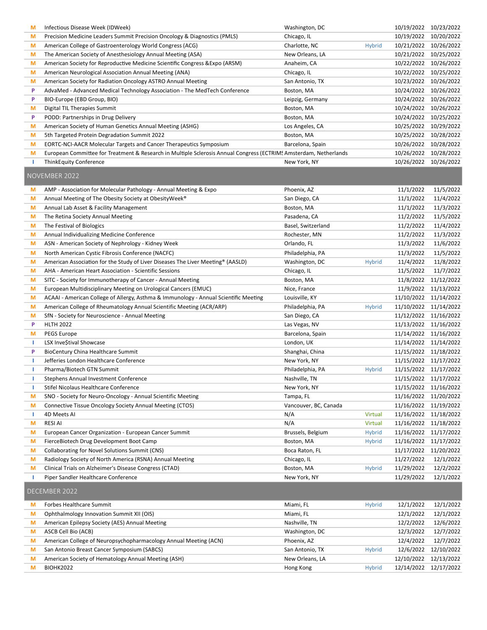| M  | Infectious Disease Week (IDWeek)                                                                                  | Washington, DC        |                | 10/19/2022 10/23/2022 |            |
|----|-------------------------------------------------------------------------------------------------------------------|-----------------------|----------------|-----------------------|------------|
| M  | Precision Medicine Leaders Summit Precision Oncology & Diagnostics (PMLS)                                         | Chicago, IL           |                | 10/19/2022            | 10/20/2022 |
| M  | American College of Gastroenterology World Congress (ACG)                                                         | Charlotte, NC         | <b>Hybrid</b>  | 10/21/2022            | 10/26/2022 |
|    |                                                                                                                   |                       |                |                       |            |
| M  | The American Society of Anesthesiology Annual Meeting (ASA)                                                       | New Orleans, LA       |                | 10/21/2022 10/25/2022 |            |
| M  | American Society for Reproductive Medicine Scientific Congress & Expo (ARSM)                                      | Anaheim, CA           |                | 10/22/2022            | 10/26/2022 |
| M  | American Neurological Association Annual Meeting (ANA)                                                            | Chicago, IL           |                | 10/22/2022            | 10/25/2022 |
| M  | American Society for Radiation Oncology ASTRO Annual Meeting                                                      | San Antonio, TX       |                | 10/23/2022            | 10/26/2022 |
| P  | AdvaMed - Advanced Medical Technology Association - The MedTech Conference                                        | Boston, MA            |                | 10/24/2022 10/26/2022 |            |
| P  | BIO-Europe (EBD Group, BIO)                                                                                       | Leipzig, Germany      |                | 10/24/2022 10/26/2022 |            |
| M  | Digital TIL Therapies Summit                                                                                      | Boston, MA            |                | 10/24/2022            | 10/26/2022 |
| P  | PODD: Partnerships in Drug Delivery                                                                               | Boston, MA            |                | 10/24/2022            | 10/25/2022 |
| M  | American Society of Human Genetics Annual Meeting (ASHG)                                                          | Los Angeles, CA       |                | 10/25/2022 10/29/2022 |            |
| M  | 5th Targeted Protein Degradation Summit 2022                                                                      | Boston, MA            |                | 10/25/2022 10/28/2022 |            |
|    |                                                                                                                   |                       |                |                       |            |
| M  | <b>EORTC-NCI-AACR Molecular Targets and Cancer Therapeutics Symposium</b>                                         | Barcelona, Spain      |                | 10/26/2022 10/28/2022 |            |
| M  | European Committee for Treatment & Research in Multiple Sclerosis Annual Congress (ECTRIM! Amsterdam, Netherlands |                       |                | 10/26/2022 10/28/2022 |            |
| ı  | <b>ThinkEquity Conference</b>                                                                                     | New York, NY          |                | 10/26/2022 10/26/2022 |            |
|    | NOVEMBER 2022                                                                                                     |                       |                |                       |            |
|    |                                                                                                                   |                       |                |                       |            |
| M  | AMP - Association for Molecular Pathology - Annual Meeting & Expo                                                 | Phoenix, AZ           |                | 11/1/2022             | 11/5/2022  |
| M  | Annual Meeting of The Obesity Society at Obesity Week <sup>®</sup>                                                | San Diego, CA         |                | 11/1/2022             | 11/4/2022  |
| M  | Annual Lab Asset & Facility Management                                                                            | Boston, MA            |                | 11/1/2022             | 11/3/2022  |
| M  | The Retina Society Annual Meeting                                                                                 | Pasadena, CA          |                | 11/2/2022             | 11/5/2022  |
| M  | The Festival of Biologics                                                                                         | Basel, Switzerland    |                | 11/2/2022             | 11/4/2022  |
| M  | Annual Individualizing Medicine Conference                                                                        | Rochester, MN         |                | 11/2/2022             | 11/3/2022  |
| M  | ASN - American Society of Nephrology - Kidney Week                                                                | Orlando, FL           |                | 11/3/2022             | 11/6/2022  |
| M  | North American Cystic Fibrosis Conference (NACFC)                                                                 | Philadelphia, PA      |                | 11/3/2022             | 11/5/2022  |
| M  | American Association for the Study of Liver Diseases The Liver Meeting® (AASLD)                                   | Washington, DC        | <b>Hybrid</b>  | 11/4/2022             | 11/8/2022  |
| M  | AHA - American Heart Association - Scientific Sessions                                                            | Chicago, IL           |                | 11/5/2022             | 11/7/2022  |
| M  | SITC - Society for Immunotherapy of Cancer - Annual Meeting                                                       | Boston, MA            |                | 11/8/2022             | 11/12/2022 |
| M  | European Multidisciplinary Meeting on Urological Cancers (EMUC)                                                   | Nice, France          |                | 11/9/2022             | 11/13/2022 |
|    |                                                                                                                   |                       |                |                       |            |
| M  | ACAAI - American College of Allergy, Asthma & Immunology - Annual Scientific Meeting                              | Louisville, KY        |                | 11/10/2022 11/14/2022 |            |
| M  | American College of Rheumatology Annual Scientific Meeting (ACR/ARP)                                              | Philadelphia, PA      | <b>Hybrid</b>  | 11/10/2022            | 11/14/2022 |
| M  | SfN - Society for Neuroscience - Annual Meeting                                                                   | San Diego, CA         |                | 11/12/2022 11/16/2022 |            |
| P  | <b>HLTH 2022</b>                                                                                                  | Las Vegas, NV         |                | 11/13/2022 11/16/2022 |            |
| M  | <b>PEGS Europe</b>                                                                                                | Barcelona, Spain      |                | 11/14/2022 11/16/2022 |            |
| ı. | LSX Inve\$tival Showcase                                                                                          | London, UK            |                | 11/14/2022 11/14/2022 |            |
| P  | <b>BioCentury China Healthcare Summit</b>                                                                         | Shanghai, China       |                | 11/15/2022 11/18/2022 |            |
| ı. | Jefferies London Healthcare Conference                                                                            | New York, NY          |                | 11/15/2022            | 11/17/2022 |
| т  | Pharma/Biotech GTN Summit                                                                                         | Philadelphia, PA      | <b>Hybrid</b>  | 11/15/2022 11/17/2022 |            |
|    | Stephens Annual Investment Conference                                                                             | Nashville, TN         |                | 11/15/2022 11/17/2022 |            |
| ı  | Stifel Nicolaus Healthcare Conference                                                                             | New York, NY          |                | 11/15/2022 11/16/2022 |            |
| M  | SNO - Society for Neuro-Oncology - Annual Scientific Meeting                                                      | Tampa, FL             |                | 11/16/2022            | 11/20/2022 |
| M  | Connective Tissue Oncology Society Annual Meeting (CTOS)                                                          | Vancouver, BC, Canada |                | 11/16/2022            | 11/19/2022 |
|    |                                                                                                                   |                       |                |                       |            |
| ı  | 4D Meets AI                                                                                                       | N/A                   | <b>Virtual</b> | 11/16/2022 11/18/2022 |            |
| M  | <b>RESI AI</b>                                                                                                    | N/A                   | <b>Virtual</b> | 11/16/2022            | 11/18/2022 |
| M  | European Cancer Organization - European Cancer Summit                                                             | Brussels, Belgium     | <b>Hybrid</b>  | 11/16/2022            | 11/17/2022 |
| M  | FierceBiotech Drug Development Boot Camp                                                                          | Boston, MA            | <b>Hybrid</b>  | 11/16/2022            | 11/17/2022 |
| M  | Collaborating for Novel Solutions Summit (CNS)                                                                    | Boca Raton, FL        |                | 11/17/2022            | 11/20/2022 |
| M  | Radiology Society of North America (RSNA) Annual Meeting                                                          | Chicago, IL           |                | 11/27/2022            | 12/1/2022  |
| M  | Clinical Trials on Alzheimer's Disease Congress (CTAD)                                                            | Boston, MA            | <b>Hybrid</b>  | 11/29/2022            | 12/2/2022  |
| ı  | Piper Sandler Healthcare Conference                                                                               | New York, NY          |                | 11/29/2022            | 12/1/2022  |
|    | DECEMBER 2022                                                                                                     |                       |                |                       |            |
| M  | Forbes Healthcare Summit                                                                                          | Miami, FL             | <b>Hybrid</b>  | 12/1/2022             | 12/1/2022  |
|    |                                                                                                                   |                       |                |                       | 12/1/2022  |
| M  | Ophthalmology Innovation Summit XII (OIS)                                                                         | Miami, FL             |                | 12/1/2022             |            |
| M  | American Epilepsy Society (AES) Annual Meeting                                                                    | Nashville, TN         |                | 12/2/2022             | 12/6/2022  |
| M  | ASCB Cell Bio (ACB)                                                                                               | Washington, DC        |                | 12/3/2022             | 12/7/2022  |
| M  | American College of Neuropsychopharmacology Annual Meeting (ACN)                                                  | Phoenix, AZ           |                | 12/4/2022             | 12/7/2022  |
| M  | San Antonio Breast Cancer Symposium (SABCS)                                                                       | San Antonio, TX       | <b>Hybrid</b>  | 12/6/2022             | 12/10/2022 |
| M  | American Society of Hematology Annual Meeting (ASH)                                                               | New Orleans, LA       |                | 12/10/2022            | 12/13/2022 |
| M  | <b>BIOHK2022</b>                                                                                                  | Hong Kong             | <b>Hybrid</b>  | 12/14/2022 12/17/2022 |            |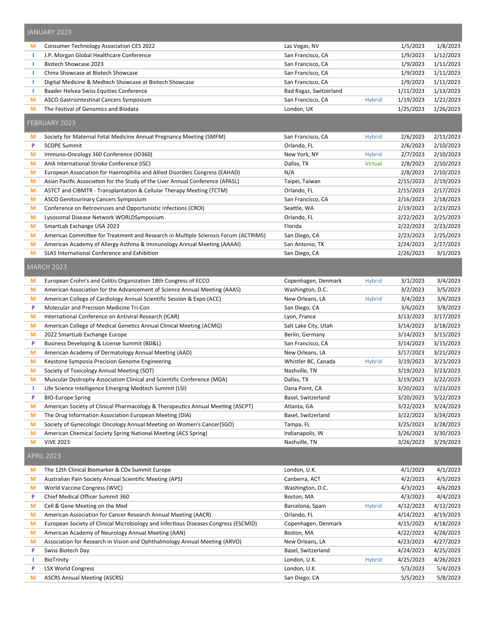|        | JANUARY 2023                                                                        |                                   |               |                        |                        |
|--------|-------------------------------------------------------------------------------------|-----------------------------------|---------------|------------------------|------------------------|
| M      | Consumer Technology Association CES 2022                                            | Las Vegas, NV                     |               | 1/5/2023               | 1/8/2023               |
| -1     | J.P. Morgan Global Healthcare Conference                                            | San Francisco, CA                 |               | 1/9/2023               | 1/12/2023              |
| -1     | Biotech Showcase 2023                                                               | San Francisco, CA                 |               | 1/9/2023               | 1/11/2023              |
| -1     | China Showcase at Biotech Showcase                                                  | San Francisco, CA                 |               | 1/9/2023               | 1/11/2023              |
| -1     | Digital Medicine & Medtech Showcase at Biotech Showcase                             | San Francisco, CA                 |               | 1/9/2023               | 1/11/2023              |
| т      | Baader Helvea Swiss Equities Conference                                             | Bad Ragaz, Switzerland            |               | 1/11/2023              | 1/13/2023              |
| M      | ASCO Gastrointestinal Cancers Symposium                                             | San Francisco, CA                 | <b>Hybrid</b> | 1/19/2023              | 1/21/2023              |
| M      | The Festival of Genomics and Biodata                                                | London, UK                        |               | 1/25/2023              | 1/26/2023              |
|        | FEBRUARY 2023                                                                       |                                   |               |                        |                        |
| M      | Society for Maternal Fetal Medicine Annual Pregnancy Meeting (SMFM)                 | San Francisco, CA                 | <b>Hybrid</b> | 2/6/2023               | 2/11/2023              |
| P      | <b>SCOPE Summit</b>                                                                 | Orlando, FL                       |               | 2/6/2023               | 2/10/2023              |
| M      | Immuno-Oncology 360 Conference (IO360)                                              | New York, NY                      | <b>Hybrid</b> | 2/7/2023               | 2/10/2023              |
| M      | AHA International Stroke Conference (ISC)                                           | Dallas, TX                        | Virtual       | 2/8/2023               | 2/10/2023              |
| M      | European Association for Haemophilia and Allied Disorders Congress (EAHAD)          | N/A                               |               | 2/8/2023               | 2/10/2023              |
| M      | Asian Pacific Association for the Study of the Liver Annual Conference (APASL)      | Taipei, Taiwan                    |               | 2/15/2023              | 2/19/2023              |
| M      | ASTCT and CIBMTR - Transplantation & Cellular Therapy Meeting (TCTM)                | Orlando, FL                       |               | 2/15/2023              | 2/17/2023              |
| M      | ASCO Genitourinary Cancers Symposium                                                | San Francisco, CA                 |               | 2/16/2023              | 2/18/2023              |
| M      | Conference on Retroviruses and Opportunistic Infections (CROI)                      | Seattle, WA                       |               | 2/19/2023              | 2/23/2023              |
| M      | Lysosomal Disease Network WORLDSymposium                                            | Orlando, FL                       |               | 2/22/2023              | 2/25/2023              |
| M      | SmartLab Exchange USA 2023                                                          | Florida                           |               | 2/22/2023              | 2/23/2023              |
| M      | Americas Committee for Treatment and Research in Multiple Sclerosis Forum (ACTRIMS) | San Diego, CA                     |               | 2/23/2023              | 2/25/2023              |
| M      | American Academy of Allergy Asthma & Immunology Annual Meeting (AAAAI)              | San Antonio, TX                   |               | 2/24/2023              | 2/27/2023              |
| M      | SLAS International Conference and Exhibition                                        | San Diego, CA                     |               | 2/26/2023              | 3/1/2023               |
|        | <b>MARCH 2023</b>                                                                   |                                   |               |                        |                        |
| M      | European Crohn's and Colitis Organization 18th Congress of ECCO                     | Copenhagen, Denmark               | <b>Hybrid</b> | 3/1/2023               | 3/4/2023               |
| M      | American Association for the Advancement of Science Annual Meeting (AAAS)           | Washington, D.C.                  |               | 3/2/2023               | 3/5/2023               |
| M      | American College of Cardiology Annual Scientific Session & Expo (ACC)               | New Orleans, LA                   | <b>Hybrid</b> | 3/4/2023               | 3/6/2023               |
| P      | Molecular and Precision Medicine Tri-Con                                            | San Diego, CA                     |               | 3/6/2023               | 3/8/2023               |
| M      | International Conference on Antiviral Research (ICAR)                               | Lyon, France                      |               | 3/13/2023              | 3/17/2023              |
| M      | American College of Medical Genetics Annual Clinical Meeting (ACMG)                 | Salt Lake City, Utah              |               | 3/14/2023              | 3/18/2023              |
| M      | 2022 SmartLab Exchange Europe                                                       | Berlin, Germany                   |               | 3/14/2023              | 3/15/2023              |
| P      | Business Developing & License Summit (BD&L)                                         | San Francisco, CA                 |               | 3/14/2023              | 3/15/2023              |
| M      | American Academy of Dermatology Annual Meeting (AAD)                                | New Orleans, LA                   |               | 3/17/2023              | 3/21/2023              |
| M      | Keystone Symposia Precision Genome Engineering                                      | Whistler BC, Canada               | <b>Hybrid</b> | 3/19/2023              | 3/23/2023              |
| M      | Society of Toxicology Annual Meeting (SOT)                                          | Nashville, TN                     |               | 3/19/2023              | 3/23/2023              |
| М      | Muscular Dystrophy Association Clinical and Scientific Conference (MDA)             | Dallas, TX                        |               | 3/19/2023              | 3/22/2023              |
| J.     | Life Science Intelligence Emerging Medtech Summit (LSI)                             | Dana Point, CA                    |               | 3/20/2023              | 3/23/2023              |
| P      | <b>BIO-Europe Spring</b>                                                            | Basel, Switzerland                |               | 3/20/2023              | 3/22/2023              |
| M      | American Society of Clinical Pharmacology & Therapeutics Annual Meeting (ASCPT)     | Atlanta, GA                       |               | 3/22/2023              | 3/24/2023              |
| M      | The Drug Information Association European Meeting (DIA)                             | Basel, Switzerland                |               | 3/22/2023              | 3/24/2023              |
| M      | Society of Gynecologic Oncology Annual Meeting on Women's Cancer(SGO)               | Tampa, FL                         |               | 3/25/2023<br>3/26/2023 | 3/28/2023<br>3/30/2023 |
| M<br>M | American Chemical Society Spring National Meeting (ACS Spring)<br><b>VIVE 2023</b>  | Indianapolis, IN<br>Nashville, TN |               | 3/26/2023              | 3/29/2023              |
|        | <b>APRIL 2023</b>                                                                   |                                   |               |                        |                        |
| M      | The 12th Clinical Biomarker & CDx Summit Europe                                     | London, U.K.                      |               | 4/1/2023               | 4/1/2023               |
| M      | Australian Pain Society Annual Scientific Meeting (APS)                             | Canberra, ACT                     |               | 4/2/2023               | 4/5/2023               |
| M      | World Vaccine Congress (WVC)                                                        | Washington, D.C.                  |               | 4/3/2023               | 4/6/2023               |
| P      | Chief Medical Officer Summit 360                                                    | Boston, MA                        |               | 4/3/2023               | 4/4/2023               |
| M      | Cell & Gene Meeting on the Med                                                      | Barcelona, Spain                  | <b>Hybrid</b> | 4/12/2023              | 4/12/2023              |
| M      | American Association for Cancer Research Annual Meeting (AACR)                      | Orlando, FL                       |               | 4/14/2023              | 4/19/2023              |
| M      | European Society of Clinical Microbiology and Infectious Diseases Congress (ESCMID) | Copenhagen, Denmark               |               | 4/15/2023              | 4/18/2023              |
| M      | American Academy of Neurology Annual Meeting (AAN)                                  | Boston, MA                        |               | 4/22/2023              | 4/28/2023              |
| M      | Association for Research in Vision and Ophthalmology Annual Meeting (ARVO)          | New Orleans, LA                   |               | 4/23/2023              | 4/27/2023              |
| P      | Swiss Biotech Day                                                                   | Basel, Switzerland                |               | 4/24/2023              | 4/25/2023              |
| -1     | BioTrinity                                                                          | London, U.K.                      | <b>Hybrid</b> | 4/25/2023              | 4/26/2023              |
| P      | <b>LSX World Congress</b>                                                           | London, U.K.                      |               | 5/3/2023               | 5/4/2023               |
| M      | <b>ASCRS Annual Meeting (ASCRS)</b>                                                 | San Diego, CA                     |               | 5/5/2023               | 5/8/2023               |